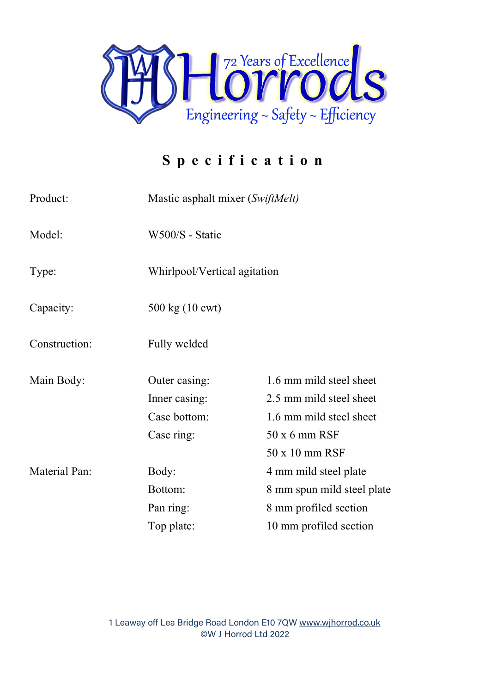

## **Specificatio n**

| Product:             | Mastic asphalt mixer (SwiftMelt) |                            |
|----------------------|----------------------------------|----------------------------|
| Model:               | W500/S - Static                  |                            |
| Type:                | Whirlpool/Vertical agitation     |                            |
| Capacity:            | 500 kg (10 cwt)                  |                            |
| Construction:        | Fully welded                     |                            |
| Main Body:           | Outer casing:                    | 1.6 mm mild steel sheet    |
|                      | Inner casing:                    | 2.5 mm mild steel sheet    |
|                      | Case bottom:                     | 1.6 mm mild steel sheet    |
|                      | Case ring:                       | $50x6$ mm RSF              |
|                      |                                  | 50 x 10 mm RSF             |
| <b>Material Pan:</b> | Body:                            | 4 mm mild steel plate      |
|                      | Bottom:                          | 8 mm spun mild steel plate |
|                      | Pan ring:                        | 8 mm profiled section      |
|                      | Top plate:                       | 10 mm profiled section     |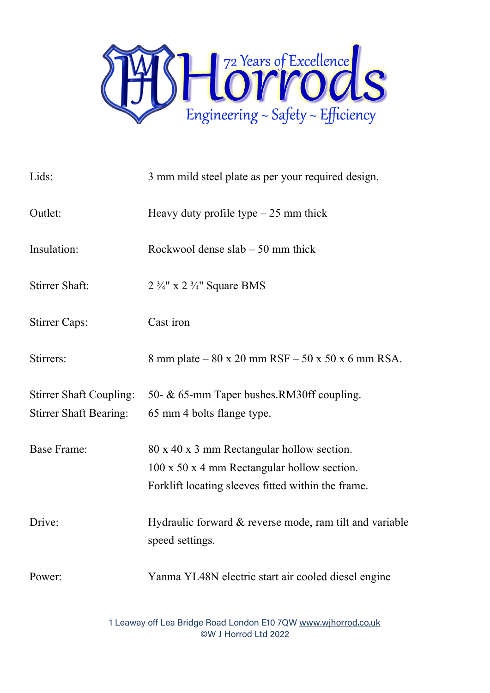

| Lids:                                                           | 3 mm mild steel plate as per your required design.                                                                                              |  |
|-----------------------------------------------------------------|-------------------------------------------------------------------------------------------------------------------------------------------------|--|
| Outlet:                                                         | Heavy duty profile type $-25$ mm thick                                                                                                          |  |
| Insulation:                                                     | Rockwool dense $slab - 50$ mm thick                                                                                                             |  |
| <b>Stirrer Shaft:</b>                                           | $2 \frac{3}{4}$ " x $2 \frac{3}{4}$ " Square BMS                                                                                                |  |
| <b>Stirrer Caps:</b>                                            | Cast iron                                                                                                                                       |  |
| Stirrers:                                                       | 8 mm plate – 80 x 20 mm RSF – 50 x 50 x 6 mm RSA.                                                                                               |  |
| <b>Stirrer Shaft Coupling:</b><br><b>Stirrer Shaft Bearing:</b> | 50- & 65-mm Taper bushes.RM30ff coupling.<br>65 mm 4 bolts flange type.                                                                         |  |
| <b>Base Frame:</b>                                              | 80 x 40 x 3 mm Rectangular hollow section.<br>100 x 50 x 4 mm Rectangular hollow section.<br>Forklift locating sleeves fitted within the frame. |  |
| Drive:                                                          | Hydraulic forward $&$ reverse mode, ram tilt and variable<br>speed settings.                                                                    |  |
| Power:                                                          | Yanma YL48N electric start air cooled diesel engine                                                                                             |  |

1 Leaway off Lea Bridge Road London E10 7QW [www.wjhorrod.co.uk](http://www.wjhorrod.co.uk/) ©W J Horrod Ltd 2022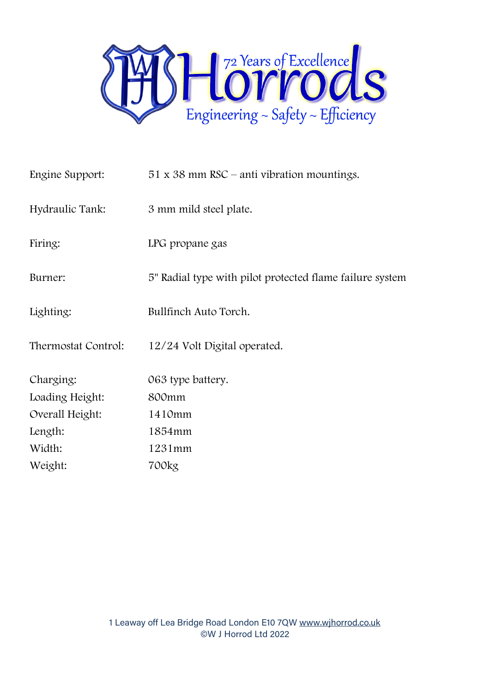

| Engine Support:     | $51 \times 38$ mm RSC – anti vibration mountings.        |
|---------------------|----------------------------------------------------------|
| Hydraulic Tank:     | 3 mm mild steel plate.                                   |
| Firing:             | LPG propane gas                                          |
| Burner:             | 5" Radial type with pilot protected flame failure system |
| Lighting:           | Bullfinch Auto Torch.                                    |
| Thermostat Control: | 12/24 Volt Digital operated.                             |
| Charging:           | 063 type battery.                                        |
| Loading Height:     | 800 <sub>mm</sub>                                        |
| Overall Height:     | 1410mm                                                   |
| Length:             | 1854mm                                                   |
| Width:              | 1231mm                                                   |
| Weight:             | 700kg                                                    |